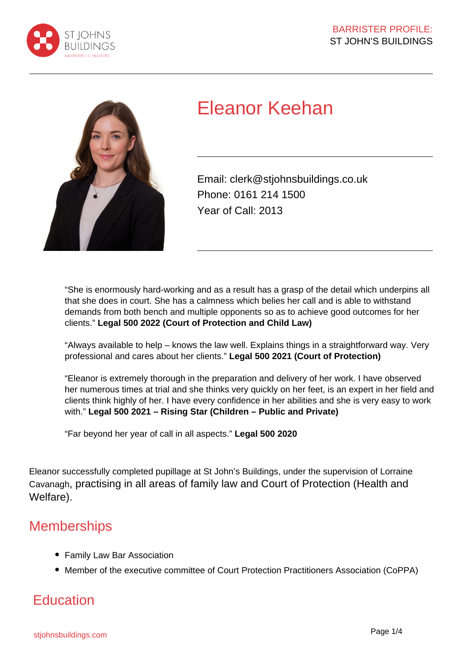



# Eleanor Keehan

Email: clerk@stjohnsbuildings.co.uk Phone: 0161 214 1500 Year of Call: 2013

"She is enormously hard-working and as a result has a grasp of the detail which underpins all that she does in court. She has a calmness which belies her call and is able to withstand demands from both bench and multiple opponents so as to achieve good outcomes for her clients." **Legal 500 2022 (Court of Protection and Child Law)**

"Always available to help – knows the law well. Explains things in a straightforward way. Very professional and cares about her clients." **Legal 500 2021 (Court of Protection)**

"Eleanor is extremely thorough in the preparation and delivery of her work. I have observed her numerous times at trial and she thinks very quickly on her feet, is an expert in her field and clients think highly of her. I have every confidence in her abilities and she is very easy to work with." **Legal 500 2021 – Rising Star (Children – Public and Private)**

"Far beyond her year of call in all aspects." **Legal 500 2020**

Eleanor successfully completed pupillage at St John's Buildings, under the supervision of Lorraine Cavanagh, practising in all areas of family law and Court of Protection (Health and Welfare).

### **Memberships**

- Family Law Bar Association
- Member of the executive committee of Court Protection Practitioners Association (CoPPA)

### **Education**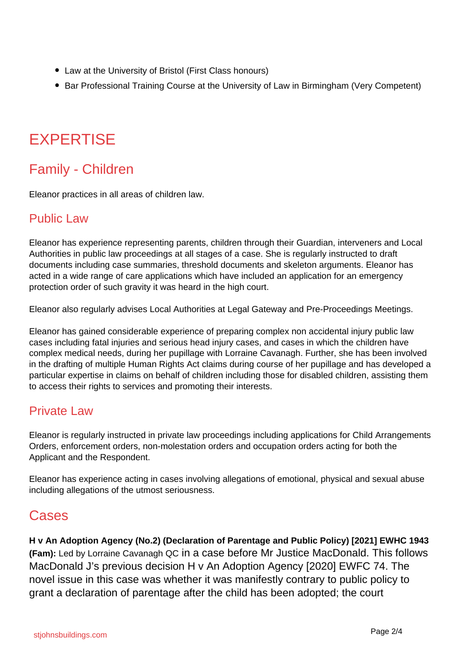- Law at the University of Bristol (First Class honours)
- Bar Professional Training Course at the University of Law in Birmingham (Very Competent)

## **EXPERTISE**

### Family - Children

Eleanor practices in all areas of children law.

#### Public Law

Eleanor has experience representing parents, children through their Guardian, interveners and Local Authorities in public law proceedings at all stages of a case. She is regularly instructed to draft documents including case summaries, threshold documents and skeleton arguments. Eleanor has acted in a wide range of care applications which have included an application for an emergency protection order of such gravity it was heard in the high court.

Eleanor also regularly advises Local Authorities at Legal Gateway and Pre-Proceedings Meetings.

Eleanor has gained considerable experience of preparing complex non accidental injury public law cases including fatal injuries and serious head injury cases, and cases in which the children have complex medical needs, during her pupillage with Lorraine Cavanagh. Further, she has been involved in the drafting of multiple Human Rights Act claims during course of her pupillage and has developed a particular expertise in claims on behalf of children including those for disabled children, assisting them to access their rights to services and promoting their interests.

#### Private Law

Eleanor is regularly instructed in private law proceedings including applications for Child Arrangements Orders, enforcement orders, non-molestation orders and occupation orders acting for both the Applicant and the Respondent.

Eleanor has experience acting in cases involving allegations of emotional, physical and sexual abuse including allegations of the utmost seriousness.

### Cases

**H v An Adoption Agency (No.2) (Declaration of Parentage and Public Policy) [2021] EWHC 1943 (Fam):** Led by Lorraine Cavanagh QC in a case before Mr Justice MacDonald. This follows MacDonald J's previous decision H v An Adoption Agency [2020] EWFC 74. The novel issue in this case was whether it was manifestly contrary to public policy to grant a declaration of parentage after the child has been adopted; the court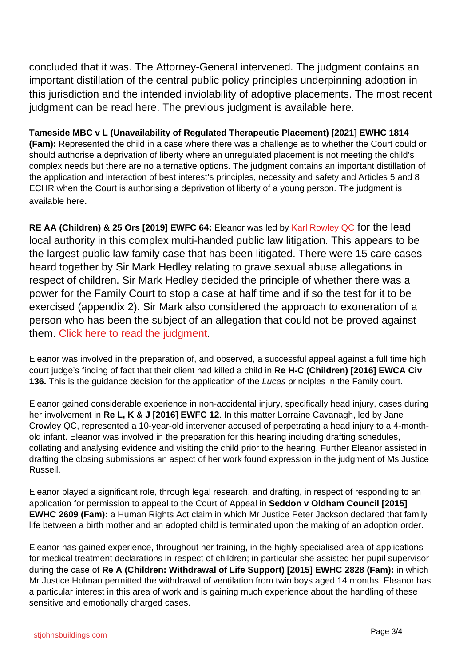concluded that it was. The Attorney-General intervened. The judgment contains an important distillation of the central public policy principles underpinning adoption in this jurisdiction and the intended inviolability of adoptive placements. The most recent judgment can be read here. The previous judgment is available here.

**Tameside MBC v L (Unavailability of Regulated Therapeutic Placement) [2021] EWHC 1814 (Fam):** Represented the child in a case where there was a challenge as to whether the Court could or should authorise a deprivation of liberty where an unregulated placement is not meeting the child's complex needs but there are no alternative options. The judgment contains an important distillation of the application and interaction of best interest's principles, necessity and safety and Articles 5 and 8 ECHR when the Court is authorising a deprivation of liberty of a young person. The judgment is available here.

**RE AA (Children) & 25 Ors [2019] EWFC 64:** Eleanor was led by Karl Rowley QC for the lead local authority in this complex multi-handed public law litigation. This appears to be the largest public law family case that has been litigated. There were 15 care cases heard together by Sir Mark Hedley relating to grave sexual abuse allegations in respect of children. Sir Mark Hedley decided the principle of whether there was a power for the Family Court to stop a case at half time and if so the test for it to be exercised (appendix 2). Sir Mark also considered the approach to exoneration of a person who has been the subject of an allegation that could not be proved against them. Click here to read the judgment.

Eleanor was involved in the preparation of, and observed, a successful appeal against a full time high court judge's finding of fact that their client had killed a child in **Re H-C (Children) [2016] EWCA Civ 136.** This is the guidance decision for the application of the Lucas principles in the Family court.

Eleanor gained considerable experience in non-accidental injury, specifically head injury, cases during her involvement in **Re L, K & J [2016] EWFC 12**. In this matter Lorraine Cavanagh, led by Jane Crowley QC, represented a 10-year-old intervener accused of perpetrating a head injury to a 4-monthold infant. Eleanor was involved in the preparation for this hearing including drafting schedules, collating and analysing evidence and visiting the child prior to the hearing. Further Eleanor assisted in drafting the closing submissions an aspect of her work found expression in the judgment of Ms Justice Russell.

Eleanor played a significant role, through legal research, and drafting, in respect of responding to an application for permission to appeal to the Court of Appeal in **Seddon v Oldham Council [2015] EWHC 2609 (Fam):** a Human Rights Act claim in which Mr Justice Peter Jackson declared that family life between a birth mother and an adopted child is terminated upon the making of an adoption order.

Eleanor has gained experience, throughout her training, in the highly specialised area of applications for medical treatment declarations in respect of children; in particular she assisted her pupil supervisor during the case of **Re A (Children: Withdrawal of Life Support) [2015] EWHC 2828 (Fam):** in which Mr Justice Holman permitted the withdrawal of ventilation from twin boys aged 14 months. Eleanor has a particular interest in this area of work and is gaining much experience about the handling of these sensitive and emotionally charged cases.